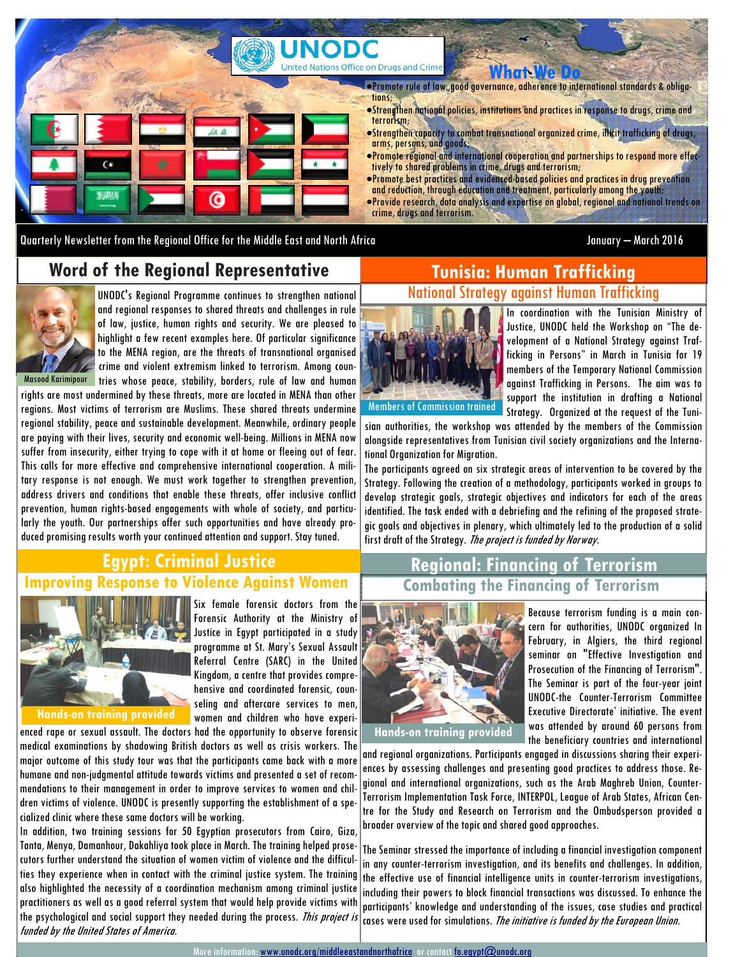

Quarterly Newsletter from the Regional Office for the Middle East and North Africa January – March 2016

#### **Word of the Regional Representative**



UNODC's Regional Programme continues to strengthen national and regional responses to shared threats and challenges in rule of law, justice, human rights and security. We are pleased to highlight a few recent examples here. Of particular significance to the MENA region, are the threats of transnational organised crime and violent extremism linked to terrorism. Among coun-Masood Karimipour tries whose peace, stability, borders, rule of law and human

rights are most undermined by these threats, more are located in MENA than other regions. Most victims of terrorism are Muslims. These shared threats undermine regional stability, peace and sustainable development. Meanwhile, ordinary people are paying with their lives, security and economic well-being. Millions in MENA now suffer from insecurity, either trying to cope with it at home or fleeing out of fear. This calls for more effective and comprehensive international cooperation. A military response is not enough. We must work together to strengthen prevention, address drivers and conditions that enable these threats, offer inclusive conflict prevention, human rights-based engagements with whole of society, and particularly the youth. Our partnerships offer such opportunities and have already produced promising results worth your continued attention and support. Stay tuned.

#### **Improving Response to Violence Against Women Regional: Financing of Terrorism Egypt: Criminal Justice**



**Hands-on training provided** 

enced rape or sexual assault. The doctors had the opportunity to observe forensic medical examinations by shadowing British doctors as well as crisis workers. The major outcome of this study tour was that the participants came back with a more humane and non-judgmental attitude towards victims and presented a set of recommendations to their management in order to improve services to women and children victims of violence. UNODC is presently supporting the establishment of a specialized clinic where these same doctors will be working.

women and children who have experi-

In addition, two training sessions for 50 Egyptian prosecutors from Cairo, Giza, Tanta, Menya, Damanhour, Dakahliya took place in March. The training helped prosecutors further understand the situation of women victim of violence and the difficulties they experience when in contact with the criminal justice system. The training also highlighted the necessity of a coordination mechanism among criminal justice practitioners as well as a good referral system that would help provide victims with the psychological and social support they needed during the process. This project is funded by the United States of America.

#### **Tunisia: Human Trafficking**  National Strategy against Human Trafficking



In coordination with the Tunisian Ministry of Justice, UNODC held the Workshop on "The development of a National Strategy against Trafficking in Persons" in March in Tunisia for 19 members of the Temporary National Commission against Trafficking in Persons. The aim was to support the institution in drafting a National Strategy. Organized at the request of the Tuni-

sian authorities, the workshop was attended by the members of the Commission alongside representatives from Tunisian civil society organizations and the International Organization for Migration.

The participants agreed on six strategic areas of intervention to be covered by the Strategy. Following the creation of a methodology, participants worked in groups to develop strategic goals, strategic objectives and indicators for each of the areas identified. The task ended with a debriefing and the refining of the proposed strategic goals and objectives in plenary, which ultimately led to the production of a solid first draft of the Strategy. The project is funded by Norway.

# **Combating the Financing of Terrorism**



Because terrorism funding is a main concern for authorities, UNODC organized In February, in Algiers, the third regional seminar on "Effective Investigation and Prosecution of the Financing of Terrorism". The Seminar is part of the four-year joint UNODC-the Counter-Terrorism Committee Executive Directorate' initiative. The event was attended by around 60 persons from the beneficiary countries and international

and regional organizations. Participants engaged in discussions sharing their experiences by assessing challenges and presenting good practices to address those. Regional and international organizations, such as the Arab Maghreb Union, Counter-Terrorism Implementation Task Force, INTERPOL, League of Arab States, African Centre for the Study and Research on Terrorism and the Ombudsperson provided a broader overview of the topic and shared good approaches.

The Seminar stressed the importance of including a financial investigation component in any counter-terrorism investigation, and its benefits and challenges. In addition, the effective use of financial intelligence units in counter-terrorism investigations, including their powers to block financial transactions was discussed. To enhance the participants' knowledge and understanding of the issues, case studies and practical cases were used for simulations. *The initiative is funded by the European Union.*